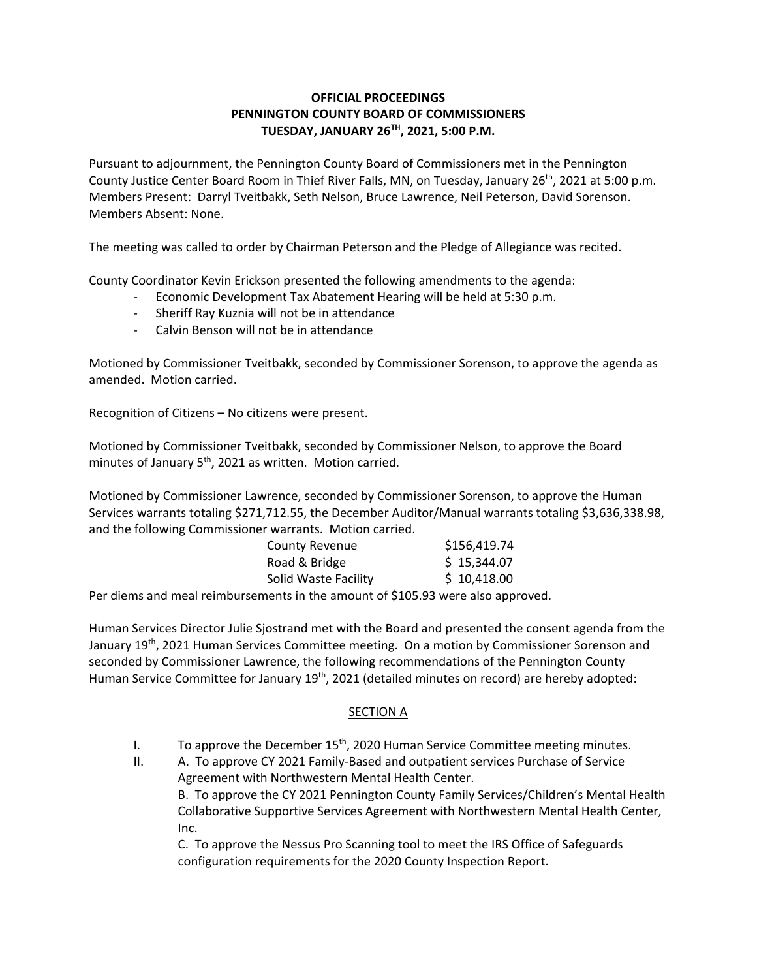## **OFFICIAL PROCEEDINGS PENNINGTON COUNTY BOARD OF COMMISSIONERS TUESDAY, JANUARY 26TH, 2021, 5:00 P.M.**

Pursuant to adjournment, the Pennington County Board of Commissioners met in the Pennington County Justice Center Board Room in Thief River Falls, MN, on Tuesday, January 26<sup>th</sup>, 2021 at 5:00 p.m. Members Present: Darryl Tveitbakk, Seth Nelson, Bruce Lawrence, Neil Peterson, David Sorenson. Members Absent: None.

The meeting was called to order by Chairman Peterson and the Pledge of Allegiance was recited.

County Coordinator Kevin Erickson presented the following amendments to the agenda:

- ‐ Economic Development Tax Abatement Hearing will be held at 5:30 p.m.
- ‐ Sheriff Ray Kuznia will not be in attendance
- ‐ Calvin Benson will not be in attendance

Motioned by Commissioner Tveitbakk, seconded by Commissioner Sorenson, to approve the agenda as amended. Motion carried.

Recognition of Citizens – No citizens were present.

Motioned by Commissioner Tveitbakk, seconded by Commissioner Nelson, to approve the Board minutes of January  $5<sup>th</sup>$ , 2021 as written. Motion carried.

Motioned by Commissioner Lawrence, seconded by Commissioner Sorenson, to approve the Human Services warrants totaling \$271,712.55, the December Auditor/Manual warrants totaling \$3,636,338.98, and the following Commissioner warrants. Motion carried.

| County Revenue       | \$156,419.74 |
|----------------------|--------------|
| Road & Bridge        | \$15,344.07  |
| Solid Waste Facility | \$10,418.00  |

Per diems and meal reimbursements in the amount of \$105.93 were also approved.

Human Services Director Julie Sjostrand met with the Board and presented the consent agenda from the January 19<sup>th</sup>, 2021 Human Services Committee meeting. On a motion by Commissioner Sorenson and seconded by Commissioner Lawrence, the following recommendations of the Pennington County Human Service Committee for January 19<sup>th</sup>, 2021 (detailed minutes on record) are hereby adopted:

## SECTION A

- I. To approve the December  $15<sup>th</sup>$ , 2020 Human Service Committee meeting minutes.
- II. A. To approve CY 2021 Family-Based and outpatient services Purchase of Service Agreement with Northwestern Mental Health Center. B. To approve the CY 2021 Pennington County Family Services/Children's Mental Health Collaborative Supportive Services Agreement with Northwestern Mental Health Center, Inc.

C. To approve the Nessus Pro Scanning tool to meet the IRS Office of Safeguards configuration requirements for the 2020 County Inspection Report.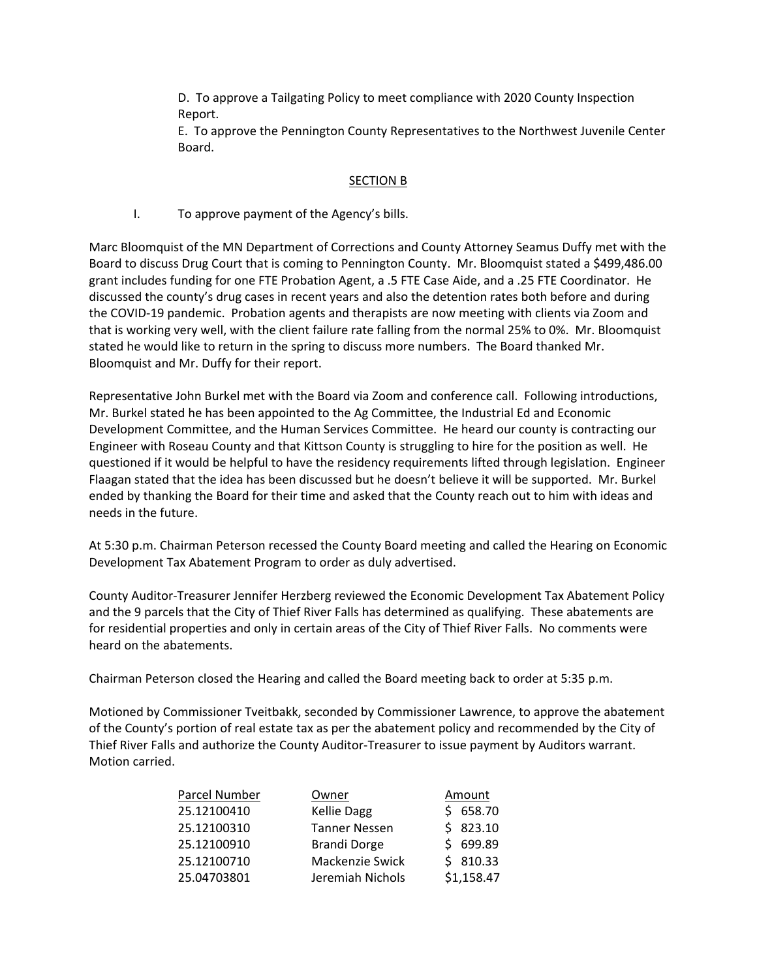D. To approve a Tailgating Policy to meet compliance with 2020 County Inspection Report.

E. To approve the Pennington County Representatives to the Northwest Juvenile Center Board.

## SECTION B

I. To approve payment of the Agency's bills.

Marc Bloomquist of the MN Department of Corrections and County Attorney Seamus Duffy met with the Board to discuss Drug Court that is coming to Pennington County. Mr. Bloomquist stated a \$499,486.00 grant includes funding for one FTE Probation Agent, a .5 FTE Case Aide, and a .25 FTE Coordinator. He discussed the county's drug cases in recent years and also the detention rates both before and during the COVID‐19 pandemic. Probation agents and therapists are now meeting with clients via Zoom and that is working very well, with the client failure rate falling from the normal 25% to 0%. Mr. Bloomquist stated he would like to return in the spring to discuss more numbers. The Board thanked Mr. Bloomquist and Mr. Duffy for their report.

Representative John Burkel met with the Board via Zoom and conference call. Following introductions, Mr. Burkel stated he has been appointed to the Ag Committee, the Industrial Ed and Economic Development Committee, and the Human Services Committee. He heard our county is contracting our Engineer with Roseau County and that Kittson County is struggling to hire for the position as well. He questioned if it would be helpful to have the residency requirements lifted through legislation. Engineer Flaagan stated that the idea has been discussed but he doesn't believe it will be supported. Mr. Burkel ended by thanking the Board for their time and asked that the County reach out to him with ideas and needs in the future.

At 5:30 p.m. Chairman Peterson recessed the County Board meeting and called the Hearing on Economic Development Tax Abatement Program to order as duly advertised.

County Auditor‐Treasurer Jennifer Herzberg reviewed the Economic Development Tax Abatement Policy and the 9 parcels that the City of Thief River Falls has determined as qualifying. These abatements are for residential properties and only in certain areas of the City of Thief River Falls. No comments were heard on the abatements.

Chairman Peterson closed the Hearing and called the Board meeting back to order at 5:35 p.m.

Motioned by Commissioner Tveitbakk, seconded by Commissioner Lawrence, to approve the abatement of the County's portion of real estate tax as per the abatement policy and recommended by the City of Thief River Falls and authorize the County Auditor‐Treasurer to issue payment by Auditors warrant. Motion carried.

| Parcel Number | Owner                | Amount     |
|---------------|----------------------|------------|
| 25.12100410   | <b>Kellie Dagg</b>   | \$658.70   |
| 25.12100310   | <b>Tanner Nessen</b> | \$823.10   |
| 25.12100910   | <b>Brandi Dorge</b>  | \$699.89   |
| 25.12100710   | Mackenzie Swick      | \$810.33   |
| 25.04703801   | Jeremiah Nichols     | \$1,158.47 |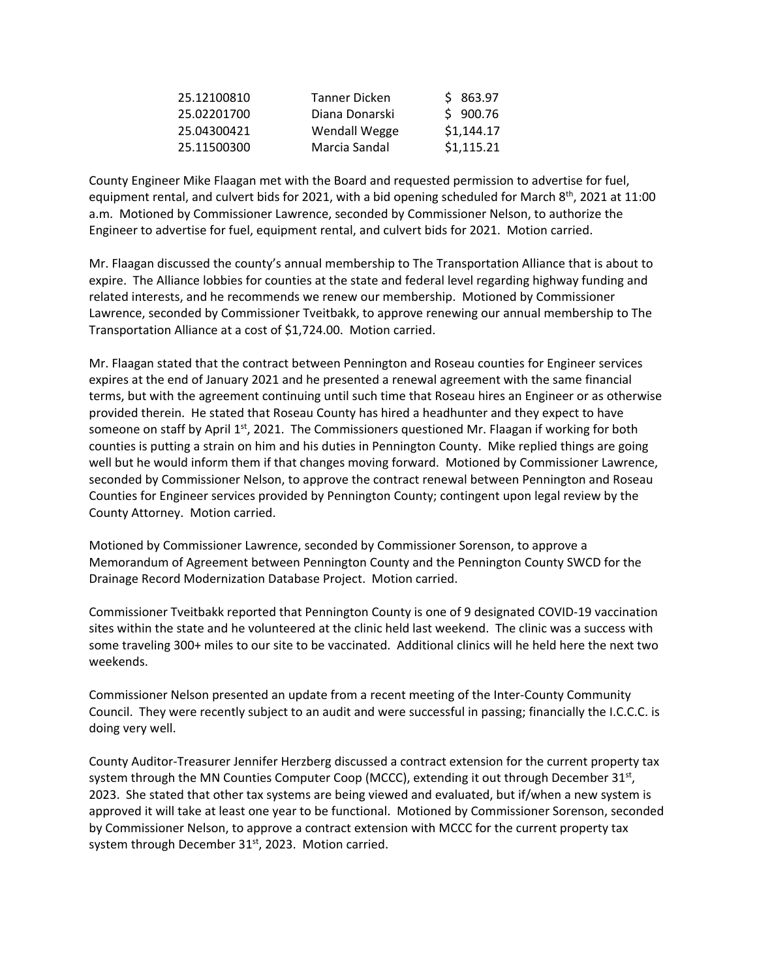| 25.12100810 | Tanner Dicken  | \$863.97   |
|-------------|----------------|------------|
| 25.02201700 | Diana Donarski | \$900.76   |
| 25.04300421 | Wendall Wegge  | \$1,144.17 |
| 25.11500300 | Marcia Sandal  | \$1,115.21 |

County Engineer Mike Flaagan met with the Board and requested permission to advertise for fuel, equipment rental, and culvert bids for 2021, with a bid opening scheduled for March  $8^{th}$ , 2021 at 11:00 a.m. Motioned by Commissioner Lawrence, seconded by Commissioner Nelson, to authorize the Engineer to advertise for fuel, equipment rental, and culvert bids for 2021. Motion carried.

Mr. Flaagan discussed the county's annual membership to The Transportation Alliance that is about to expire. The Alliance lobbies for counties at the state and federal level regarding highway funding and related interests, and he recommends we renew our membership. Motioned by Commissioner Lawrence, seconded by Commissioner Tveitbakk, to approve renewing our annual membership to The Transportation Alliance at a cost of \$1,724.00. Motion carried.

Mr. Flaagan stated that the contract between Pennington and Roseau counties for Engineer services expires at the end of January 2021 and he presented a renewal agreement with the same financial terms, but with the agreement continuing until such time that Roseau hires an Engineer or as otherwise provided therein. He stated that Roseau County has hired a headhunter and they expect to have someone on staff by April  $1<sup>st</sup>$ , 2021. The Commissioners questioned Mr. Flaagan if working for both counties is putting a strain on him and his duties in Pennington County. Mike replied things are going well but he would inform them if that changes moving forward. Motioned by Commissioner Lawrence, seconded by Commissioner Nelson, to approve the contract renewal between Pennington and Roseau Counties for Engineer services provided by Pennington County; contingent upon legal review by the County Attorney. Motion carried.

Motioned by Commissioner Lawrence, seconded by Commissioner Sorenson, to approve a Memorandum of Agreement between Pennington County and the Pennington County SWCD for the Drainage Record Modernization Database Project. Motion carried.

Commissioner Tveitbakk reported that Pennington County is one of 9 designated COVID‐19 vaccination sites within the state and he volunteered at the clinic held last weekend. The clinic was a success with some traveling 300+ miles to our site to be vaccinated. Additional clinics will he held here the next two weekends.

Commissioner Nelson presented an update from a recent meeting of the Inter‐County Community Council. They were recently subject to an audit and were successful in passing; financially the I.C.C.C. is doing very well.

County Auditor‐Treasurer Jennifer Herzberg discussed a contract extension for the current property tax system through the MN Counties Computer Coop (MCCC), extending it out through December 31st, 2023. She stated that other tax systems are being viewed and evaluated, but if/when a new system is approved it will take at least one year to be functional. Motioned by Commissioner Sorenson, seconded by Commissioner Nelson, to approve a contract extension with MCCC for the current property tax system through December 31<sup>st</sup>, 2023. Motion carried.